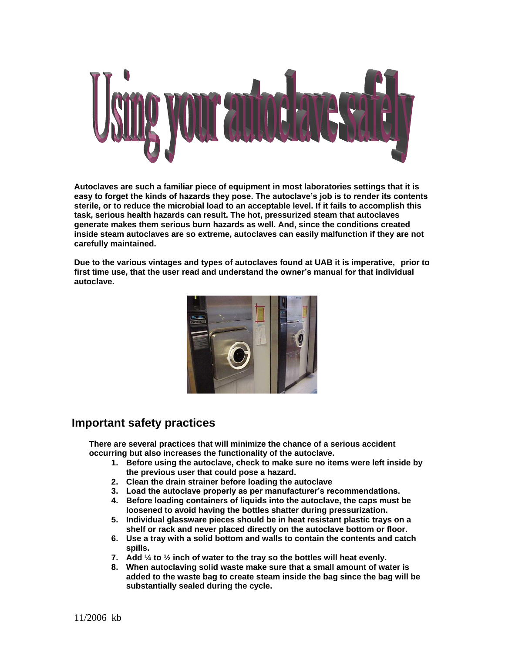

**Autoclaves are such a familiar piece of equipment in most laboratories settings that it is easy to forget the kinds of hazards they pose. The autoclave's job is to render its contents sterile, or to reduce the microbial load to an acceptable level. If it fails to accomplish this task, serious health hazards can result. The hot, pressurized steam that autoclaves generate makes them serious burn hazards as well. And, since the conditions created inside steam autoclaves are so extreme, autoclaves can easily malfunction if they are not carefully maintained.**

**Due to the various vintages and types of autoclaves found at UAB it is imperative, prior to first time use, that the user read and understand the owner's manual for that individual autoclave.**



#### **Important safety practices**

**There are several practices that will minimize the chance of a serious accident occurring but also increases the functionality of the autoclave.**

- **1. Before using the autoclave, check to make sure no items were left inside by the previous user that could pose a hazard.**
- **2. Clean the drain strainer before loading the autoclave**
- **3. Load the autoclave properly as per manufacturer's recommendations.**
- **4. Before loading containers of liquids into the autoclave, the caps must be loosened to avoid having the bottles shatter during pressurization.**
- **5. Individual glassware pieces should be in heat resistant plastic trays on a shelf or rack and never placed directly on the autoclave bottom or floor.**
- **6. Use a tray with a solid bottom and walls to contain the contents and catch spills.**
- **7. Add ¼ to ½ inch of water to the tray so the bottles will heat evenly.**
- **8. When autoclaving solid waste make sure that a small amount of water is added to the waste bag to create steam inside the bag since the bag will be substantially sealed during the cycle.**